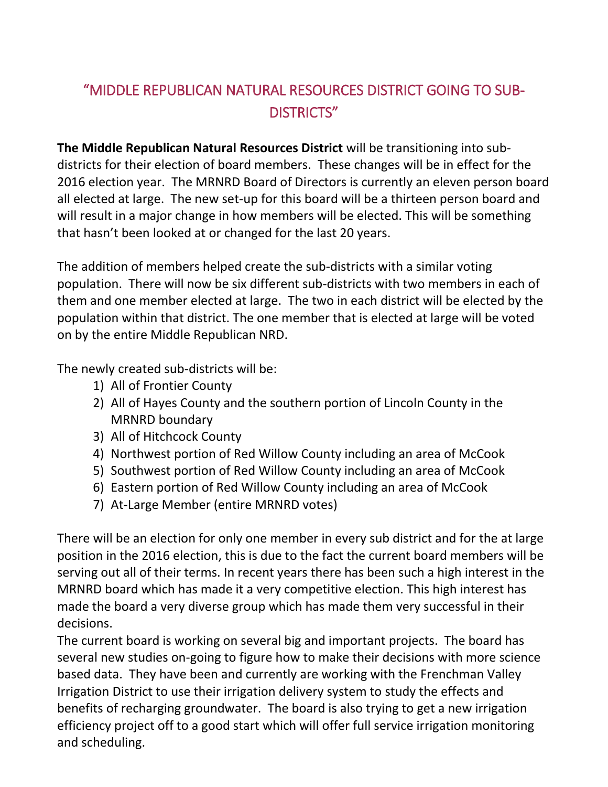## "MIDDLE REPUBLICAN NATURAL RESOURCES DISTRICT GOING TO SUB-DISTRICTS"

**The Middle Republican Natural Resources District** will be transitioning into subdistricts for their election of board members. These changes will be in effect for the 2016 election year. The MRNRD Board of Directors is currently an eleven person board all elected at large. The new set-up for this board will be a thirteen person board and will result in a major change in how members will be elected. This will be something that hasn't been looked at or changed for the last 20 years.

The addition of members helped create the sub-districts with a similar voting population. There will now be six different sub-districts with two members in each of them and one member elected at large. The two in each district will be elected by the population within that district. The one member that is elected at large will be voted on by the entire Middle Republican NRD.

The newly created sub-districts will be:

- 1) All of Frontier County
- 2) All of Hayes County and the southern portion of Lincoln County in the MRNRD boundary
- 3) All of Hitchcock County
- 4) Northwest portion of Red Willow County including an area of McCook
- 5) Southwest portion of Red Willow County including an area of McCook
- 6) Eastern portion of Red Willow County including an area of McCook
- 7) At-Large Member (entire MRNRD votes)

There will be an election for only one member in every sub district and for the at large position in the 2016 election, this is due to the fact the current board members will be serving out all of their terms. In recent years there has been such a high interest in the MRNRD board which has made it a very competitive election. This high interest has made the board a very diverse group which has made them very successful in their decisions.

The current board is working on several big and important projects. The board has several new studies on-going to figure how to make their decisions with more science based data. They have been and currently are working with the Frenchman Valley Irrigation District to use their irrigation delivery system to study the effects and benefits of recharging groundwater. The board is also trying to get a new irrigation efficiency project off to a good start which will offer full service irrigation monitoring and scheduling.